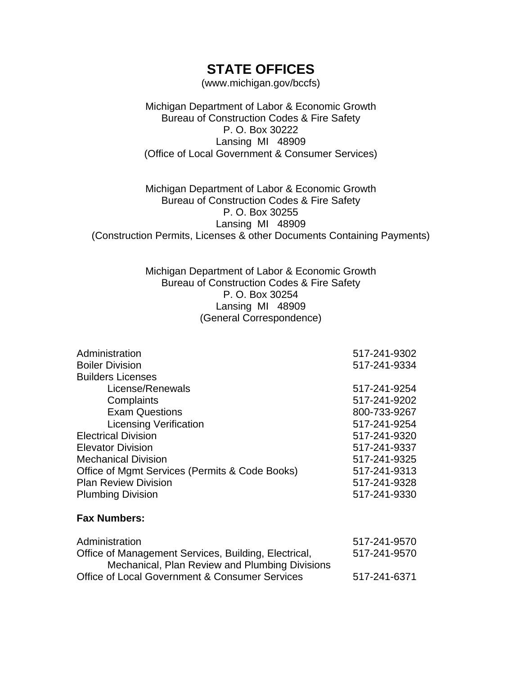## **STATE OFFICES**

(www.michigan.gov/bccfs)

Michigan Department of Labor & Economic Growth Bureau of Construction Codes & Fire Safety P. O. Box 30222 Lansing MI 48909 (Office of Local Government & Consumer Services)

Michigan Department of Labor & Economic Growth Bureau of Construction Codes & Fire Safety P. O. Box 30255 Lansing MI 48909 (Construction Permits, Licenses & other Documents Containing Payments)

## Michigan Department of Labor & Economic Growth Bureau of Construction Codes & Fire Safety P. O. Box 30254 Lansing MI 48909 (General Correspondence)

| Administration<br><b>Boiler Division</b>                                                               | 517-241-9302<br>517-241-9334 |
|--------------------------------------------------------------------------------------------------------|------------------------------|
| <b>Builders Licenses</b>                                                                               |                              |
| License/Renewals                                                                                       | 517-241-9254                 |
| Complaints                                                                                             | 517-241-9202                 |
| <b>Exam Questions</b>                                                                                  | 800-733-9267                 |
| <b>Licensing Verification</b>                                                                          | 517-241-9254                 |
| <b>Electrical Division</b>                                                                             | 517-241-9320                 |
| <b>Elevator Division</b>                                                                               | 517-241-9337                 |
| <b>Mechanical Division</b>                                                                             | 517-241-9325                 |
| Office of Mgmt Services (Permits & Code Books)                                                         | 517-241-9313                 |
| <b>Plan Review Division</b>                                                                            | 517-241-9328                 |
| <b>Plumbing Division</b>                                                                               | 517-241-9330                 |
| <b>Fax Numbers:</b>                                                                                    |                              |
| Administration                                                                                         | 517-241-9570                 |
| Office of Management Services, Building, Electrical,<br>Mechanical, Plan Review and Plumbing Divisions | 517-241-9570                 |
| <b>Office of Local Government &amp; Consumer Services</b>                                              | 517-241-6371                 |